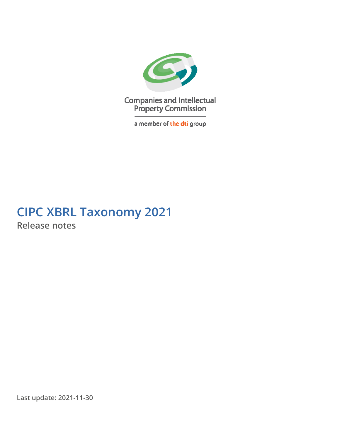

**Companies and Intellectual<br>Property Commission** 

a member of the dti group

# **CIPC XBRL Taxonomy 2021 Release notes**

**Last update: 2021-11-30**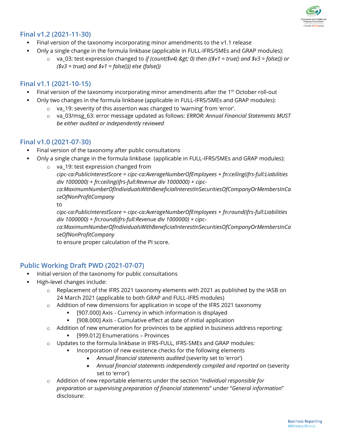

## **Final v1.2 (2021-11-30)**

- Final version of the taxonomy incorporating minor amendments to the v1.1 release
- Only a single change in the formula linkbase (applicable in FULL-IFRS/SMEs and GRAP modules):
	- $\circ$  va 03: test expression changed to *if (count(\$v4) > 0) then ((\$v1 = true() and \$v3 = false()) or (\$v3 = true() and \$v1 = false())) else (false())*

## **Final v1.1 (2021-10-15)**

- Final version of the taxonomy incorporating minor amendments after the 1<sup>st</sup> October roll-out
- Only two changes in the formula linkbase (applicable in FULL-IFRS/SMEs and GRAP modules):
	- o va\_19: severity of this assertion was changed to 'warning' from 'error'.
	- o va\_03/msg\_63: error message updated as follows: *ERROR: Annual Financial Statements MUST be either audited or independently reviewed*

#### **Final v1.0 (2021-07-30)**

- Final version of the taxonomy after public consultations
- Only a single change in the formula linkbase (applicable in FULL-IFRS/SMEs and GRAP modules):
	- o va\_19: test expression changed from *cipc-ca:PublicInterestScore = cipc-ca:AverageNumberOfEmployees + fn:ceiling(ifrs-full:Liabilities div 1000000) + fn:ceiling(ifrs-full:Revenue div 1000000) + cipcca:MaximumNumberOfIndividualsWithBeneficialInterestInSecuritiesOfCompanyOrMembersInCa seOfNonProfitCompany*

to

*cipc-ca:PublicInterestScore = cipc-ca:AverageNumberOfEmployees + fn:round(ifrs-full:Liabilities div 1000000) + fn:round(ifrs-full:Revenue div 1000000) + cipc-*

*ca:MaximumNumberOfIndividualsWithBeneficialInterestInSecuritiesOfCompanyOrMembersInCa seOfNonProfitCompany*

to ensure proper calculation of the PI score.

#### **Public Working Draft PWD (2021-07-07)**

- Initial version of the taxonomy for public consultations
- High-level changes include:
	- o Replacement of the IFRS 2021 taxonomy elements with 2021 as published by the IASB on 24 March 2021 (applicable to both GRAP and FULL-IFRS modules)
	- $\circ$  Addition of new dimensions for application in scope of the IFRS 2021 taxonomy
		- [907.000] Axis Currency in which information is displayed
		- [908.000] Axis Cumulative effect at date of initial application
	- $\circ$  Addition of new enumeration for provinces to be applied in business address reporting:
		- **•** [999.012] Enumerations Provinces
	- o Updates to the formula linkbase in IFRS-FULL, IFRS-SMEs and GRAP modules:
		- Incorporation of new existence checks for the following elements
			- *Annual financial statements audited* (severity set to 'error')
			- *Annual financial statements independently compiled and reported on* (severity set to 'error')
	- o Addition of new reportable elements under the section "*Individual responsible for preparation or supervising preparation of financial statements*" under "*General information*" disclosure: